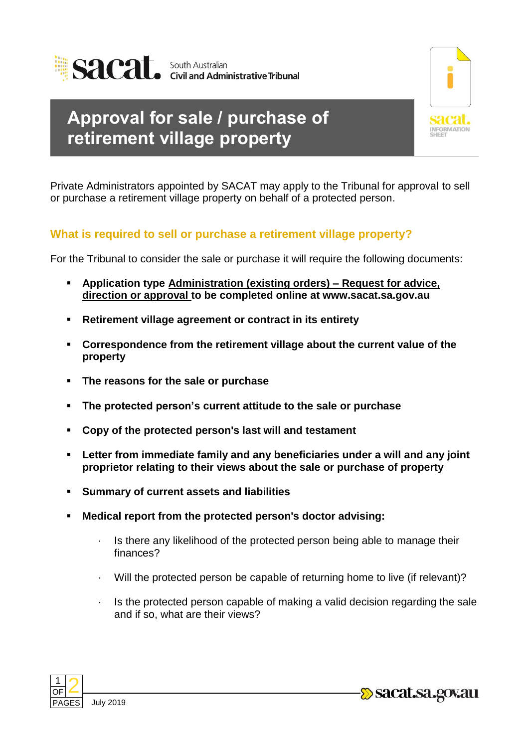

## **Approval for sale / purchase of retirement village property**



Private Administrators appointed by SACAT may apply to the Tribunal for approval to sell or purchase a retirement village property on behalf of a protected person.

## **What is required to sell or purchase a retirement village property?**

For the Tribunal to consider the sale or purchase it will require the following documents:

- **Application type Administration (existing orders) – Request for advice, direction or approval to be completed online at www.sacat.sa.gov.au**
- **Retirement village agreement or contract in its entirety**
- **Correspondence from the retirement village about the current value of the property**
- **The reasons for the sale or purchase**
- **The protected person's current attitude to the sale or purchase**
- **Copy of the protected person's last will and testament**
- **Letter from immediate family and any beneficiaries under a will and any joint proprietor relating to their views about the sale or purchase of property**
- **Summary of current assets and liabilities**
- **Medical report from the protected person's doctor advising:** 
	- · Is there any likelihood of the protected person being able to manage their finances?
	- Will the protected person be capable of returning home to live (if relevant)?
	- Is the protected person capable of making a valid decision regarding the sale and if so, what are their views?





-Sacat.sa.gov.au